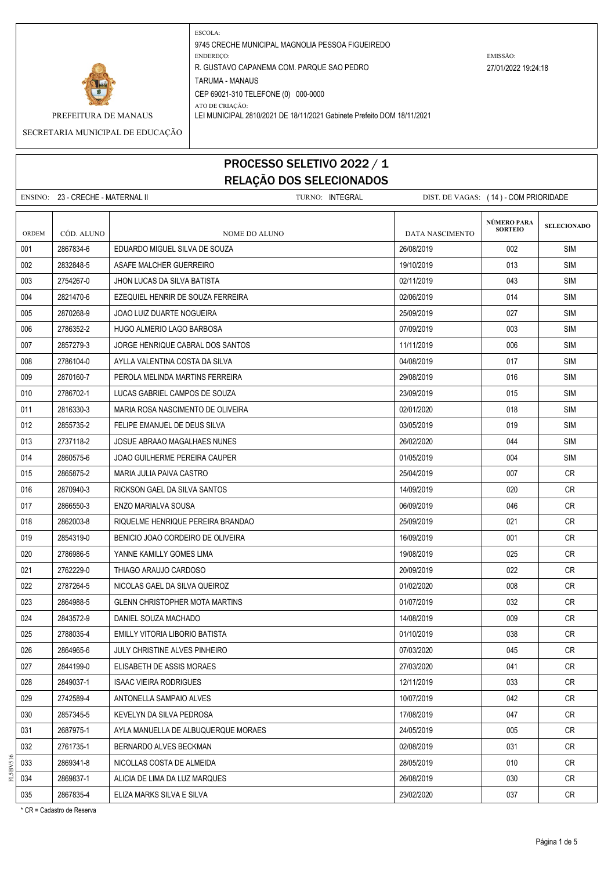

PREFEITURA DE MANAUS LEI MUNICIPAL 2810/2021 DE 18/11/2021 Gabinete Prefeito DOM 18/11/2021 SECRETARIA MUNICIPAL DE EDUCAÇÃO

# PROCESSO SELETIVO 2022 / 1 RELAÇÃO DOS SELECIONADOS

ENSINO: 23 - CRECHE - MATERNAL II TURNO: INTEGRAL DIST. DE VAGAS: ( 14 ) - COM PRIORIDADE **SELECIONADO** ORDEM CÓD. ALUNO **NOME DO ALUNO** NOME DO ALUNO DATA NASCIMENTO 001 2867834-6 EDUARDO MIGUEL SILVA DE SOUZA 26/08/2019 002 SIM 002 2832848-5 ASAFE MALCHER GUERREIRO 19/10/2019 19/10/2019 19/10/2019 19/10 SIM 003 2754267-0 JHON LUCAS DA SILVA BATISTA 02/11/2019 SIM 004 2821470-6 EZEQUIEL HENRIR DE SOUZA FERREIRA 02/06/2019 014 SIM 005 2870268-9 JOAO LUIZ DUARTE NOGUEIRA 25/09/2019 027 SIM 006 2786352-2 HUGO ALMERIO LAGO BARBOSA 07/09/2019 SIM 007 2857279-3 JORGE HENRIQUE CABRAL DOS SANTOS 11/11/2019 11/11/2019 1006 SIM 008 2786104-0 AYLLA VALENTINA COSTA DA SILVA 04/09 000 ALGANZION A COSTA DA SILVA 04/08/2019 017 SIM 009 2870160-7 PEROLA MELINDA MARTINS FERREIRA 29/08/2019 016 SIM 010 2786702-1 LUCAS GABRIEL CAMPOS DE SOUZA 23/09/2019 23/09/2019 23/09/2019 23/09 011 2816330-3 MARIA ROSA NASCIMENTO DE OLIVEIRA 02/01/2020 018 SIM 012 2855735-2 FELIPE EMANUEL DE DEUS SILVA 03/05/2019 019 SIM 013 2737118-2 JOSUE ABRAAO MAGALHAES NUNES 26/02/2020 044 SIM 014 2860575-6 JOAO GUILHERME PEREIRA CAUPER 01/05/2019 004 SIM 015 2865875-2 MARIA JULIA PAIVA CASTRO 25/04/2019 25/04/2019 1007 CR 016 2870940-3 RICKSON GAEL DA SILVA SANTOS 14/09/2019 14/09/2019 14/09/2019 020 CR 017 2866550-3 ENZO MARIALVA SOUSA 06/09/2019 046 CR 018 2862003-8 RIQUELME HENRIQUE PEREIRA BRANDAO 25/09/2019 021 CR 019 2854319-0 BENICIO JOAO CORDEIRO DE OLIVEIRA 16/09/2019 | 16/09/2019 | 001 | CR 020 2786986-5 YANNE KAMILLY GOMES LIMA 19/08/2019 | 19/08/2019 | 025 | CR 021 2762229-0 THIAGO ARAUJO CARDOSO 2009 2010 20/09/2019 20/09/2019 2022 CR 022 2787264-5 NICOLAS GAEL DA SILVA QUEIROZ 01/02/2020 008 CR 023 2864988-5 GLENN CHRISTOPHER MOTA MARTINS 032 CR 024 2843572-9 DANIEL SOUZA MACHADO 14/08/2019 14/08/2019 14/08/2019 009 CR 025 2788035-4 EMILLY VITORIA LIBORIO BATISTA 01/10/2019 038 CR 026 2864965-6 JULY CHRISTINE ALVES PINHEIRO 07/03/2020 045 CR 027 2844199-0 ELISABETH DE ASSIS MORAES 27/03/2020 2020 27/03/2020 2041 CR 028 2849037-1 ISAAC VIEIRA RODRIGUES 12/11/2019 033 CR 029 2742589-4 ANTONELLA SAMPAIO ALVES 10/07/2019 042 CR 030 2857345-5 KEVELYN DA SILVA PEDROSA 17/08/2019 047 CR 031 2687975-1 AYLA MANUELLA DE ALBUQUERQUE MORAES 24/05/2019 CR 032 2761735-1 BERNARDO ALVES BECKMAN 02/08/2019 031 CR **NÚMERO PARA SORTEIO**

033 2869341-8 NICOLLAS COSTA DE ALMEIDA 28/05/2019 010 CR 034 2869837-1 ALICIA DE LIMA DA LUZ MARQUES 26/08/2019 | 26/08/2019 | 030 CR 035 2867835-4 ELIZA MARKS SILVA E SILVA 23/02/2020 | 037 | CR

FL5BV516

\* CR = Cadastro de Reserva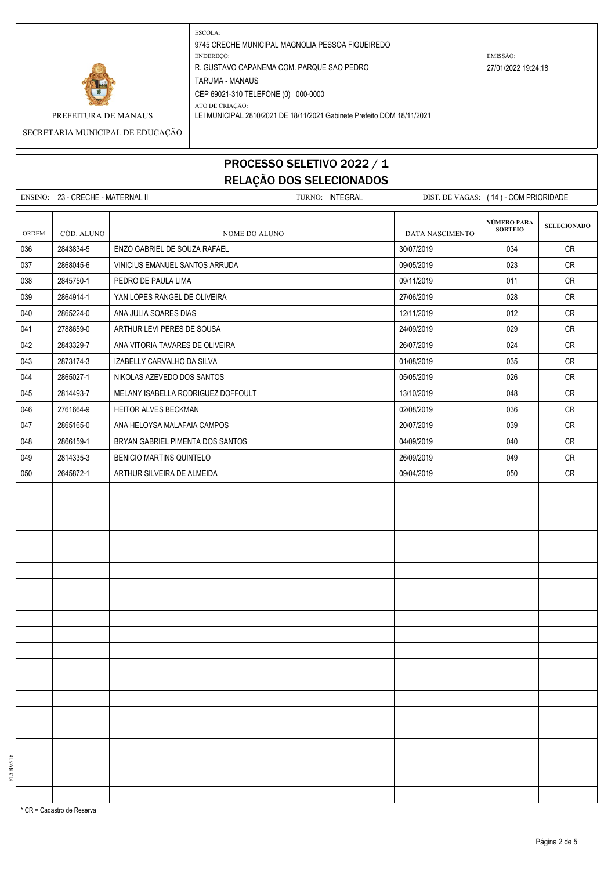

PREFEITURA DE MANAUS LEI MUNICIPAL 2810/2021 DE 18/11/2021 Gabinete Prefeito DOM 18/11/2021

SECRETARIA MUNICIPAL DE EDUCAÇÃO

# PROCESSO SELETIVO 2022 / 1 RELAÇÃO DOS SELECIONADOS

ENSINO: 23 - CRECHE - MATERNAL II TURNO: INTEGRAL DIST. DE VAGAS: (14) - COM PRIORIDADE **SELECIONADO** ORDEM CÓD. ALUNO NOME DO ALUNO NOME DO ALUNO DATA NASCIMENTO 036 2843834-5 LENZO GABRIEL DE SOUZA RAFAEL 30/07/2019 CR 037 2868045-6 VINICIUS EMANUEL SANTOS ARRUDA 09/05/2019 023 CR 038 2845750-1 PEDRO DE PAULA LIMA 09/11/2019 011 CR 039 2864914-1 VANTOPES RANGEL DE OLIVEIRA 27/06/2019 27/06/2019 28 028 CR 040 2865224-0 ANA JULIA SOARES DIAS 1200 1200 12/11/2019 12/11/2019 12/12/12019 12:012 CR 041 2788659-0 ARTHUR LEVI PERES DE SOUSA 24/09/2019 24/09/2019 2029 CR 042 2843329-7 ANA VITORIA TAVARES DE OLIVEIRA 26/07/2019 26/07/2019 2843329-7 ANA VITORIA TAVARES DE OLIVEIRA 043 2873174-3 IZABELLY CARVALHO DA SILVA 01/08/2019 035 CR 044 2865027-1 NIKOLAS AZEVEDO DOS SANTOS 05/05/2019 026 CR 045 2814493-7 MELANY ISABELLA RODRIGUEZ DOFFOULT NEWSLAMING RESERVED AT A SALE OF A CREAT ON A CREAT OF A CREA 046 2761664-9 HEITOR ALVES BECKMAN 02/08/2019 036 CR 047 2865165-0 ANA HELOYSA MALAFAIA CAMPOS 20/07/2019 039 CR 048 2866159-1 BRYAN GABRIEL PIMENTA DOS SANTOS 04/09/2019 040 CR 049 2814335-3 BENICIO MARTINS QUINTELO BENICIO AND RESERVE A LOST RESERVE AND RESERVE A LOST DE CRIMINALES ON S 050 2645872-1 ARTHUR SILVEIRA DE ALMEIDA 09/04/2019 050 CR **NÚMERO PARA SORTEIO**

\* CR = Cadastro de Reserva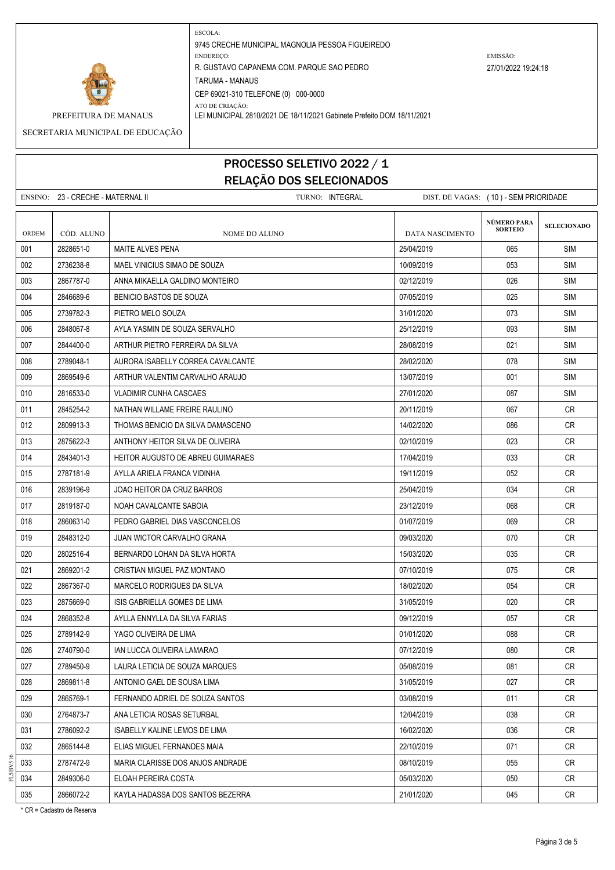

PREFEITURA DE MANAUS LEI MUNICIPAL 2810/2021 DE 18/11/2021 Gabinete Prefeito DOM 18/11/2021

#### SECRETARIA MUNICIPAL DE EDUCAÇÃO

### PROCESSO SELETIVO 2022 / 1 RELAÇÃO DOS SELECIONADOS

ENSINO: 23 - CRECHE - MATERNAL II TURNO: INTEGRAL DIST. DE VAGAS: ( 10 ) - SEM PRIORIDADE **SELECIONADO** ORDEM CÓD. ALUNO **NOME DO ALUNO** NOME DO ALUNO DATA NASCIMENTO 001 2828651-0 MAITE ALVES PENA 25/04/2019 065 SIM 002 2736238-8 |MAEL VINICIUS SIMAO DE SOUZA 1000 1000 | 10/09/2019 | 10/09/2019 | 10/09 003 2867787-0 ANNA MIKAELLA GALDINO MONTEIRO 02/12/2019 SIM 004 2846689-6 BENICIO BASTOS DE SOUZA 07/05/2019 025 SIM 005 2739782-3 PIETRO MELO SOUZA 31/01/2020 073 SIM 006 2848067-8 AYLA YASMIN DE SOUZA SERVALHO 25/12/2019 SIM 007 2844400-0 | ARTHUR PIETRO FERREIRA DA SILVA 28/08/2019 | 28/08/2019 | 28/08/2019 | 28/08/2019 | 28/08/2019 008 2789048-1 AURORA ISABELLY CORREA CAVALCANTE 28/02/2020 SIMPLE 28/02/2020 SIMPLE 28/02 009 2869549-6 ARTHUR VALENTIM CARVALHO ARAUJO 13/07/2019 001 SIM 010 2816533-0 VLADIMIR CUNHA CASCAES 27/01/2020 300 29/01/2020 27/01/2020 987 SIM 011 2845254-2 NATHAN WILLAME FREIRE RAULINO 20/11/2019 067 CR 012 2809913-3 THOMAS BENICIO DA SILVA DAMASCENO 14 CONSERVADO LA 14/02/2020 14/02/2020 14/02/2020 14/02/2020 14/02 013 2875622-3 ANTHONY HEITOR SILVA DE OLIVEIRA 02/10/2019 023 CR 014 2843401-3 HEITOR AUGUSTO DE ABREU GUIMARAES 2000 17/04/2019 17/04/2019 17/04/2019 033 015 2787181-9 AYLLA ARIELA FRANCA VIDINHA 19/11/2019 052 CR 016 2839196-9 JOAO HEITOR DA CRUZ BARROS 25/04/2019 034 CR 017 2819187-0 NOAH CAVALCANTE SABOIA 23/12/2019 23/12/2019 1668 CR 018 2860631-0 PEDRO GABRIEL DIAS VASCONCELOS 069 CR 019 2848312-0 JUAN WICTOR CARVALHO GRANA 09/03/2020 070 CR 020 2802516-4 BERNARDO LOHAN DA SILVA HORTA 15/03/2020 15/03/2020 2006 2802516-4 CR 021 2869201-2 CRISTIAN MIGUEL PAZ MONTANO 07/10/2019 075 CR 022 2867367-0 MARCELO RODRIGUES DA SILVA 18/02/2020 18/02/2020 2006 264 CR 023 2875669-0 ISIS GABRIELLA GOMES DE LIMA 31/05/2019 CR 024 2868352-8 AYLLA ENNYLLA DA SILVA FARIAS 09/12/2019 057 CR 025 2789142-9 YAGO OLIVEIRA DE LIMA 01/01/2020 088 CR 026 2740790-0 IAN LUCCA OLIVEIRA LAMARAO 07/12/2019 080 CR 027 2789450-9 LAURA LETICIA DE SOUZA MARQUES 05/08/2019 081 CR 028 2869811-8 ANTONIO GAEL DE SOUSA LIMA 31/05/2019 027 CR 029 2865769-1 FERNANDO ADRIEL DE SOUZA SANTOS 03/08/2019 011 CR 030 2764873-7 ANA LETICIA ROSAS SETURBAL 12/04/2019 038 CR 031 2786092-2 ISABELLY KALINE LEMOS DE LIMA 16/02/2020 CR 032 2865144-8 ELIAS MIGUEL FERNANDES MAIA 22/10/2019 22/10/2019 2010 071 CR 033 2787472-9 MARIA CLARISSE DOS ANJOS ANDRADE 08/10/2019 CR 034 2849306-0 ELOAH PEREIRA COSTA 05/03/2020 050 CR 035 2866072-2 KAYLA HADASSA DOS SANTOS BEZERRA 21/01/2020 21/01/2020 2366072-2 KAYLA HADASSA DOS SANTOS BEZERRA **NÚMERO PARA SORTEIO**

\* CR = Cadastro de Reserva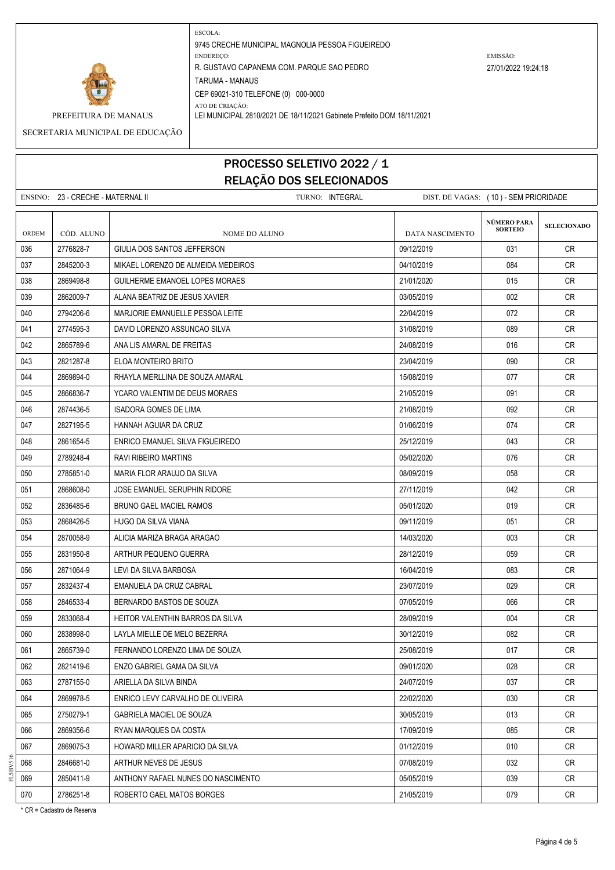

PREFEITURA DE MANAUS LEI MUNICIPAL 2810/2021 DE 18/11/2021 Gabinete Prefeito DOM 18/11/2021 SECRETARIA MUNICIPAL DE EDUCAÇÃO

# PROCESSO SELETIVO 2022 / 1 RELAÇÃO DOS SELECIONADOS

ENSINO: 23 - CRECHE - MATERNAL II TURNO: INTEGRAL DIST. DE VAGAS: ( 10 ) - SEM PRIORIDADE **SELECIONADO** ORDEM CÓD. ALUNO **NOME DO ALUNO** NOME DO ALUNO DATA NASCIMENTO 036 2776828-7 GIULIA DOS SANTOS JEFFERSON 09/12/2019 CR 037 2845200-3 MIKAEL LORENZO DE ALMEIDA MEDEIROS 04/10/2019 084 CR 038 2869498-8 GUILHERME EMANOEL LOPES MORAES 21/01/2020 121/01/2020 2015 CR 039 2862009-7 ALANA BEATRIZ DE JESUS XAVIER 03/05/2019 002 CR 040 2794206-6 MARJORIF EMANUELLE PESSOA LEITE 22/04/2019 22/04/2019 2012 072 CR 041 2774595-3 DAVID LORENZO ASSUNCAO SILVA 31/08/2019 089 CR 042 2865789-6 ANA LIS AMARAL DE FREITAS 24/08/2019 24/08/2019 2565789-6 2016 CR 043 | 2821287-8 | ELOA MONTEIRO BRITO | 23/04/2019 CR 044 2869894-0 RHAYLA MERLLINA DE SOUZA AMARAL 15/08/2019 | 15/08/2019 | 077 | CR 045 2866836-7 YCARO VALENTIM DE DEUS MORAES 21/05/2019 CR 046 2874436-5 ISADORA GOMES DE LIMA 21/08/2019 092 CR 047 2827195-5 HANNAH AGUIAR DA CRUZ 01/06/2019 074 CR 048 2861654-5 ENRICO EMANUEL SILVA FIGUEIREDO 25/12/2019 043 CR 049 2789248-4 RAVI RIBEIRO MARTINS 05/02/2020 076 CR 050 2785851-0 MARIA FLOR ARAUJO DA SILVA 08/09/2019 058 CR 051 2868608-0 JOSE EMANUEL SERUPHIN RIDORE 27/11/2019 042 CR 052 2836485-6 BRUNO GAEL MACIEL RAMOS 019 CR 053 | 2868426-5 | HUGO DA SILVA VIANA | 09/11/2019 CR 054 2870058-9 ALICIA MARIZA BRAGA ARAGAO 1403/2020 14/03/2020 14/03/2020 14/03 055 2831950-8 ARTHUR PEQUENO GUERRA 28/12/2019 28/12/2019 28/12/2019 28/12 056 2871064-9 LEVI DA SILVA BARBOSA 16/04/2019 | 083 CR 057 2832437-4 EMANUELA DA CRUZ CABRAL 23/07/2019 029 CR 058 2846533-4 BERNARDO BASTOS DE SOUZA 07/05/2019 066 CR 059 2833068-4 HEITOR VALENTHIN BARROS DA SILVA 28/09/2019 28/09/2019 28/09/2019 004 CR 060 | 2838998-0 | LAYLA MIELLE DE MELO BEZERRA | 30/12/2019 | 082 | CR 061 2865739-0 FERNANDO LORENZO LIMA DE SOUZA 25/08/2019 017 CR 062 2821419-6 ENZO GABRIEL GAMA DA SILVA 09/01/2020 028 CR 063 2787155-0 ARIELLA DA SILVA BINDA 24/07/2019 CR 064 2869978-5 ENRICO LEVY CARVALHO DE OLIVEIRA 22/02/2020 030 CR 065 2750279-1 GABRIELA MACIEL DE SOUZA 30/05/2019 013 CR 066 2869356-6 RYAN MARQUES DA COSTA 17/09/2019 17/09/2019 1866 2869356-6 CR 067 2869075-3 HOWARD MILLER APARICIO DA SILVA 01/12/2019 CR 068 2846681-0 ARTHUR NEVES DE JESUS 07/08/2019 032 CR 069 2850411-9 ANTHONY RAFAEL NUNES DO NASCIMENTO CONSIDERANTE DE LOS DE LOS DE LOS DE LOS DE LOS CRI 070 2786251-8 ROBERTO GAEL MATOS BORGES 21/05/2019 21/05/2019 21/05/2019 2019 CR **NÚMERO PARA SORTEIO**

\* CR = Cadastro de Reserva